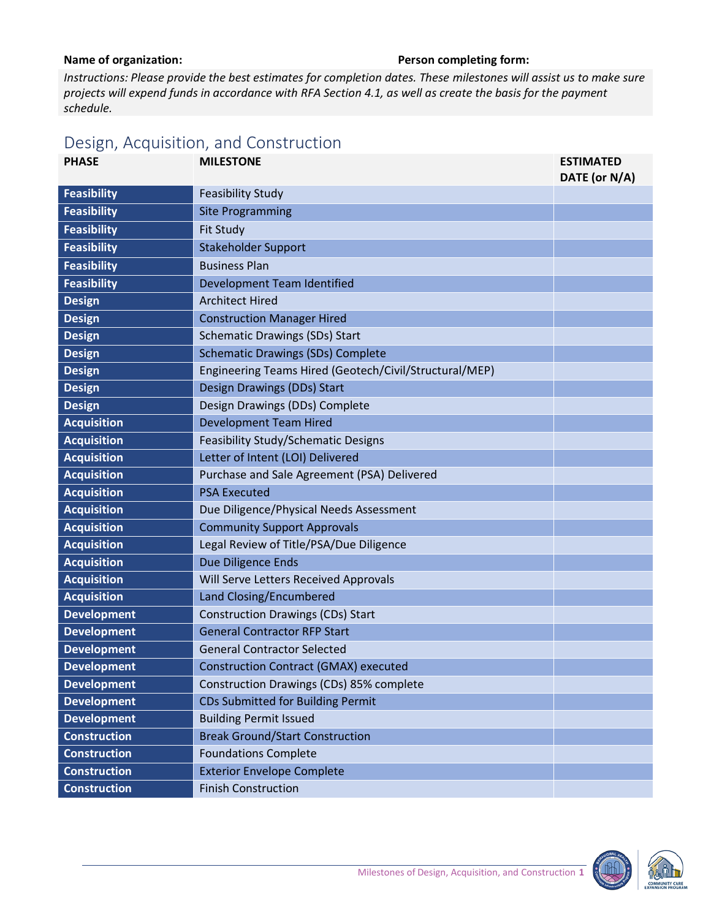## Name of organization: **Name of organization: Person completing form:**

*Instructions: Please provide the best estimates for completion dates. These milestones will assist us to make sure projects will expend funds in accordance with RFA Section 4.1, as well as create the basis for the payment schedule.* 

## Design, Acquisition, and Construction

| <b>PHASE</b>        | <b>MILESTONE</b>                                       | <b>ESTIMATED</b><br>DATE (or N/A) |
|---------------------|--------------------------------------------------------|-----------------------------------|
| <b>Feasibility</b>  | <b>Feasibility Study</b>                               |                                   |
| <b>Feasibility</b>  | <b>Site Programming</b>                                |                                   |
| <b>Feasibility</b>  | Fit Study                                              |                                   |
| <b>Feasibility</b>  | <b>Stakeholder Support</b>                             |                                   |
| <b>Feasibility</b>  | <b>Business Plan</b>                                   |                                   |
| <b>Feasibility</b>  | Development Team Identified                            |                                   |
| <b>Design</b>       | <b>Architect Hired</b>                                 |                                   |
| <b>Design</b>       | <b>Construction Manager Hired</b>                      |                                   |
| <b>Design</b>       | <b>Schematic Drawings (SDs) Start</b>                  |                                   |
| <b>Design</b>       | <b>Schematic Drawings (SDs) Complete</b>               |                                   |
| <b>Design</b>       | Engineering Teams Hired (Geotech/Civil/Structural/MEP) |                                   |
| <b>Design</b>       | Design Drawings (DDs) Start                            |                                   |
| <b>Design</b>       | Design Drawings (DDs) Complete                         |                                   |
| <b>Acquisition</b>  | <b>Development Team Hired</b>                          |                                   |
| <b>Acquisition</b>  | <b>Feasibility Study/Schematic Designs</b>             |                                   |
| <b>Acquisition</b>  | Letter of Intent (LOI) Delivered                       |                                   |
| <b>Acquisition</b>  | Purchase and Sale Agreement (PSA) Delivered            |                                   |
| <b>Acquisition</b>  | <b>PSA Executed</b>                                    |                                   |
| <b>Acquisition</b>  | Due Diligence/Physical Needs Assessment                |                                   |
| <b>Acquisition</b>  | <b>Community Support Approvals</b>                     |                                   |
| <b>Acquisition</b>  | Legal Review of Title/PSA/Due Diligence                |                                   |
| <b>Acquisition</b>  | Due Diligence Ends                                     |                                   |
| <b>Acquisition</b>  | Will Serve Letters Received Approvals                  |                                   |
| <b>Acquisition</b>  | Land Closing/Encumbered                                |                                   |
| <b>Development</b>  | <b>Construction Drawings (CDs) Start</b>               |                                   |
| <b>Development</b>  | <b>General Contractor RFP Start</b>                    |                                   |
| <b>Development</b>  | <b>General Contractor Selected</b>                     |                                   |
| <b>Development</b>  | <b>Construction Contract (GMAX) executed</b>           |                                   |
| <b>Development</b>  | Construction Drawings (CDs) 85% complete               |                                   |
| <b>Development</b>  | CDs Submitted for Building Permit                      |                                   |
| <b>Development</b>  | <b>Building Permit Issued</b>                          |                                   |
| <b>Construction</b> | <b>Break Ground/Start Construction</b>                 |                                   |
| <b>Construction</b> | <b>Foundations Complete</b>                            |                                   |
| <b>Construction</b> | <b>Exterior Envelope Complete</b>                      |                                   |
| <b>Construction</b> | <b>Finish Construction</b>                             |                                   |